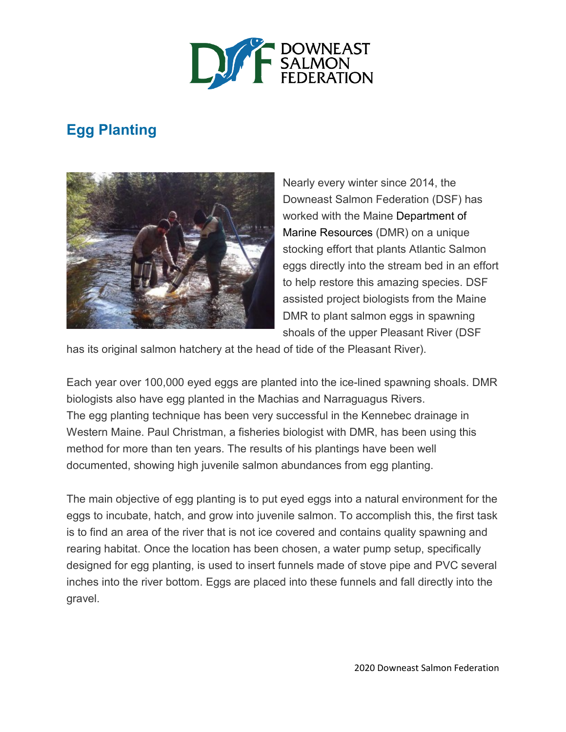

## **Egg Planting**



Nearly every winter since 2014, the Downeast Salmon Federation (DSF) has worked with the Maine Department of Marine Resources (DMR) on a unique stocking effort that plants Atlantic Salmon eggs directly into the stream bed in an effort to help restore this amazing species. DSF assisted project biologists from the Maine DMR to plant salmon eggs in spawning shoals of the upper Pleasant River (DSF

has its original salmon hatchery at the head of tide of the Pleasant River).

Each year over 100,000 eyed eggs are planted into the ice-lined spawning shoals. DMR biologists also have egg planted in the Machias and Narraguagus Rivers. The egg planting technique has been very successful in the Kennebec drainage in Western Maine. Paul Christman, a fisheries biologist with DMR, has been using this method for more than ten years. The results of his plantings have been well documented, showing high juvenile salmon abundances from egg planting.

The main objective of egg planting is to put eyed eggs into a natural environment for the eggs to incubate, hatch, and grow into juvenile salmon. To accomplish this, the first task is to find an area of the river that is not ice covered and contains quality spawning and rearing habitat. Once the location has been chosen, a water pump setup, specifically designed for egg planting, is used to insert funnels made of stove pipe and PVC several inches into the river bottom. Eggs are placed into these funnels and fall directly into the gravel.